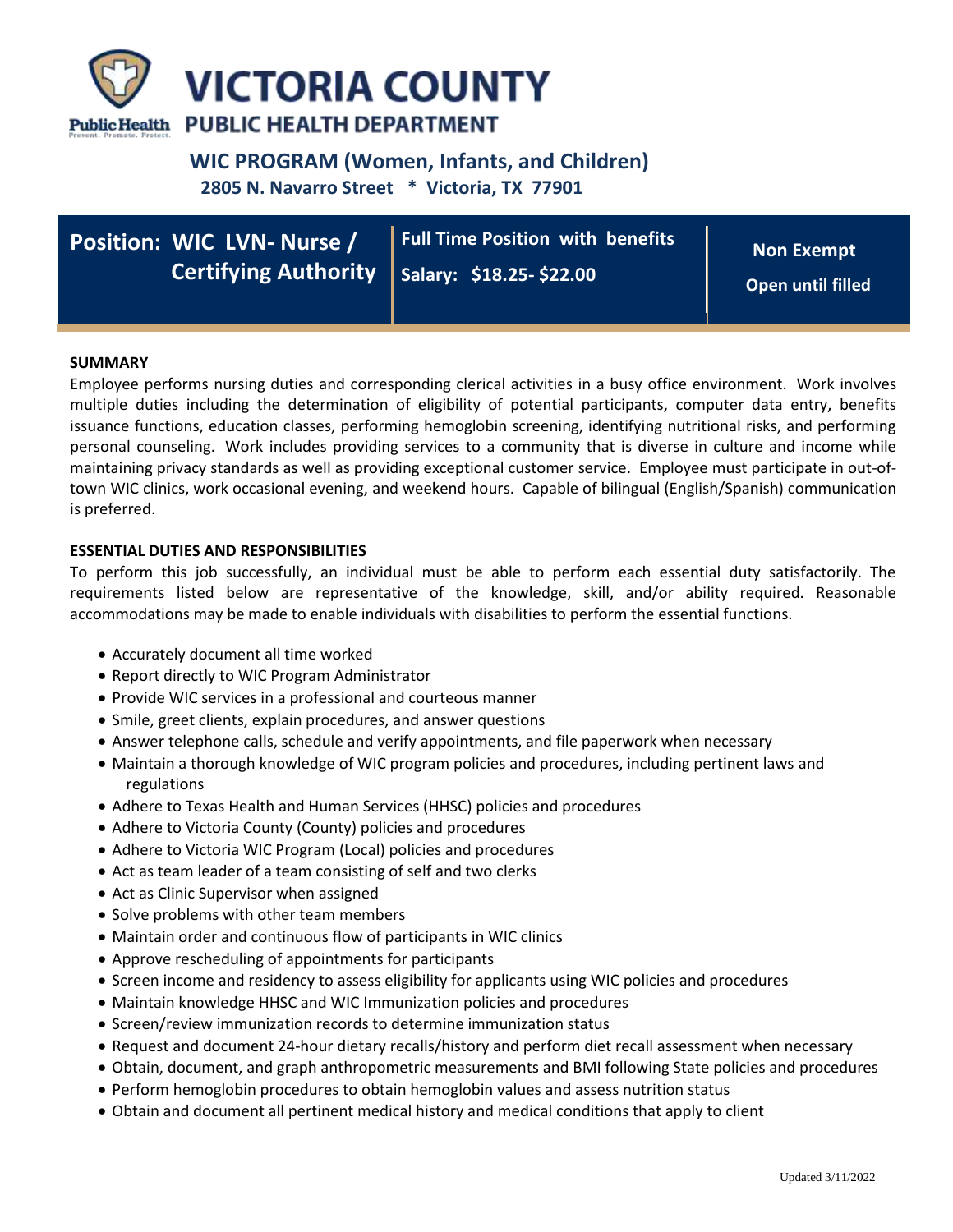

# **WIC PROGRAM (Women, Infants, and Children)**

 **2805 N. Navarro Street \* Victoria, TX 77901**

| <b>Position: WIC LVN- Nurse /</b>              | Full Time Position with benefits | <b>Non Exempt</b> |
|------------------------------------------------|----------------------------------|-------------------|
| Certifying Authority   Salary: \$18.25-\$22.00 |                                  | Open until filled |

# **SUMMARY**

Employee performs nursing duties and corresponding clerical activities in a busy office environment. Work involves multiple duties including the determination of eligibility of potential participants, computer data entry, benefits issuance functions, education classes, performing hemoglobin screening, identifying nutritional risks, and performing personal counseling. Work includes providing services to a community that is diverse in culture and income while maintaining privacy standards as well as providing exceptional customer service. Employee must participate in out-oftown WIC clinics, work occasional evening, and weekend hours. Capable of bilingual (English/Spanish) communication is preferred.

## **ESSENTIAL DUTIES AND RESPONSIBILITIES**

To perform this job successfully, an individual must be able to perform each essential duty satisfactorily. The requirements listed below are representative of the knowledge, skill, and/or ability required. Reasonable accommodations may be made to enable individuals with disabilities to perform the essential functions.

- Accurately document all time worked
- Report directly to WIC Program Administrator
- Provide WIC services in a professional and courteous manner
- Smile, greet clients, explain procedures, and answer questions
- Answer telephone calls, schedule and verify appointments, and file paperwork when necessary
- Maintain a thorough knowledge of WIC program policies and procedures, including pertinent laws and regulations
- Adhere to Texas Health and Human Services (HHSC) policies and procedures
- Adhere to Victoria County (County) policies and procedures
- Adhere to Victoria WIC Program (Local) policies and procedures
- Act as team leader of a team consisting of self and two clerks
- Act as Clinic Supervisor when assigned
- Solve problems with other team members
- Maintain order and continuous flow of participants in WIC clinics
- Approve rescheduling of appointments for participants
- Screen income and residency to assess eligibility for applicants using WIC policies and procedures
- Maintain knowledge HHSC and WIC Immunization policies and procedures
- Screen/review immunization records to determine immunization status
- Request and document 24-hour dietary recalls/history and perform diet recall assessment when necessary
- Obtain, document, and graph anthropometric measurements and BMI following State policies and procedures
- Perform hemoglobin procedures to obtain hemoglobin values and assess nutrition status
- Obtain and document all pertinent medical history and medical conditions that apply to client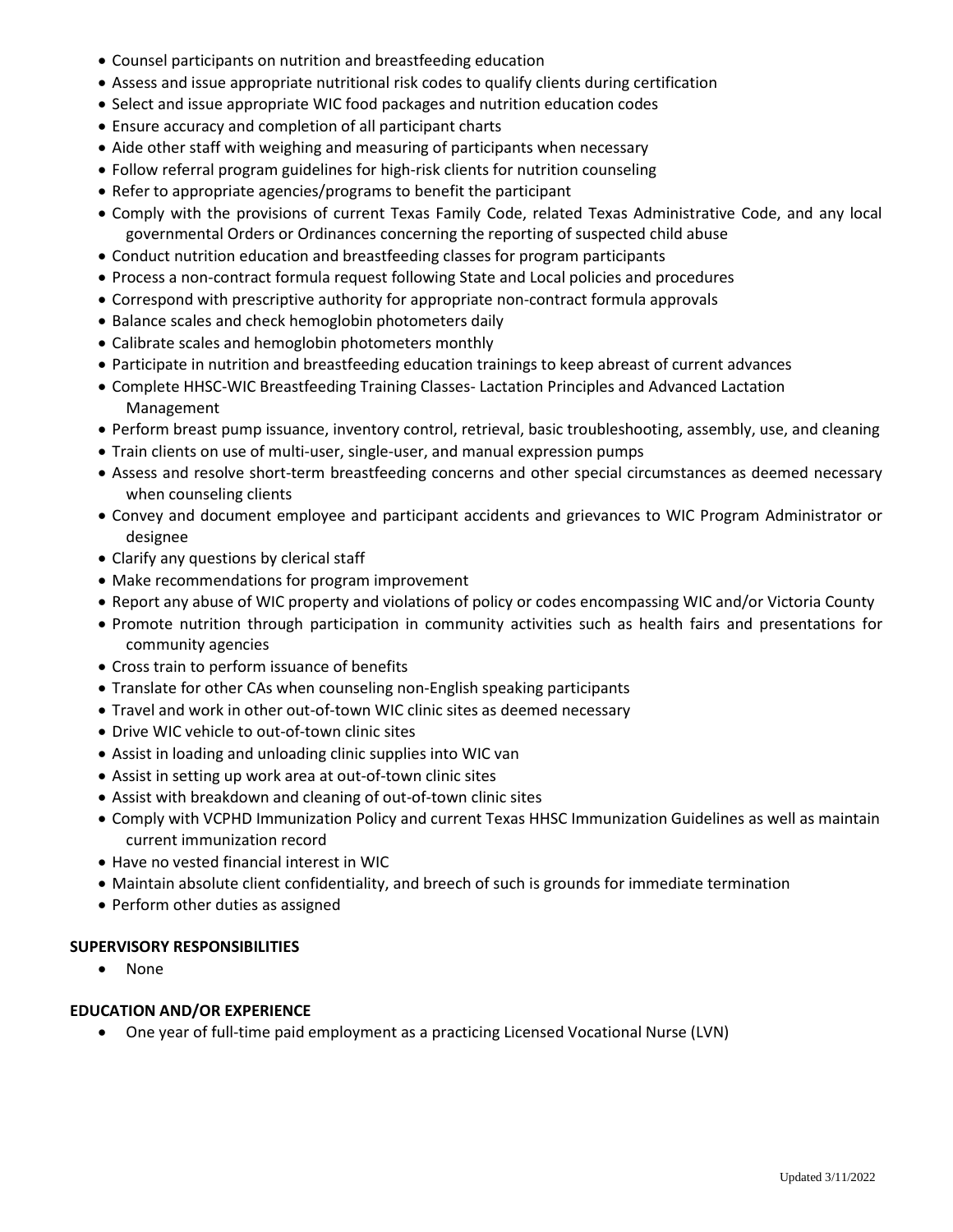- Counsel participants on nutrition and breastfeeding education
- Assess and issue appropriate nutritional risk codes to qualify clients during certification
- Select and issue appropriate WIC food packages and nutrition education codes
- Ensure accuracy and completion of all participant charts
- Aide other staff with weighing and measuring of participants when necessary
- Follow referral program guidelines for high-risk clients for nutrition counseling
- Refer to appropriate agencies/programs to benefit the participant
- Comply with the provisions of current Texas Family Code, related Texas Administrative Code, and any local governmental Orders or Ordinances concerning the reporting of suspected child abuse
- Conduct nutrition education and breastfeeding classes for program participants
- Process a non-contract formula request following State and Local policies and procedures
- Correspond with prescriptive authority for appropriate non-contract formula approvals
- Balance scales and check hemoglobin photometers daily
- Calibrate scales and hemoglobin photometers monthly
- Participate in nutrition and breastfeeding education trainings to keep abreast of current advances
- Complete HHSC-WIC Breastfeeding Training Classes- Lactation Principles and Advanced Lactation Management
- Perform breast pump issuance, inventory control, retrieval, basic troubleshooting, assembly, use, and cleaning
- Train clients on use of multi-user, single-user, and manual expression pumps
- Assess and resolve short-term breastfeeding concerns and other special circumstances as deemed necessary when counseling clients
- Convey and document employee and participant accidents and grievances to WIC Program Administrator or designee
- Clarify any questions by clerical staff
- Make recommendations for program improvement
- Report any abuse of WIC property and violations of policy or codes encompassing WIC and/or Victoria County
- Promote nutrition through participation in community activities such as health fairs and presentations for community agencies
- Cross train to perform issuance of benefits
- Translate for other CAs when counseling non-English speaking participants
- Travel and work in other out-of-town WIC clinic sites as deemed necessary
- Drive WIC vehicle to out-of-town clinic sites
- Assist in loading and unloading clinic supplies into WIC van
- Assist in setting up work area at out-of-town clinic sites
- Assist with breakdown and cleaning of out-of-town clinic sites
- Comply with VCPHD Immunization Policy and current Texas HHSC Immunization Guidelines as well as maintain current immunization record
- Have no vested financial interest in WIC
- Maintain absolute client confidentiality, and breech of such is grounds for immediate termination
- Perform other duties as assigned

#### **SUPERVISORY RESPONSIBILITIES**

None

#### **EDUCATION AND/OR EXPERIENCE**

One year of full-time paid employment as a practicing Licensed Vocational Nurse (LVN)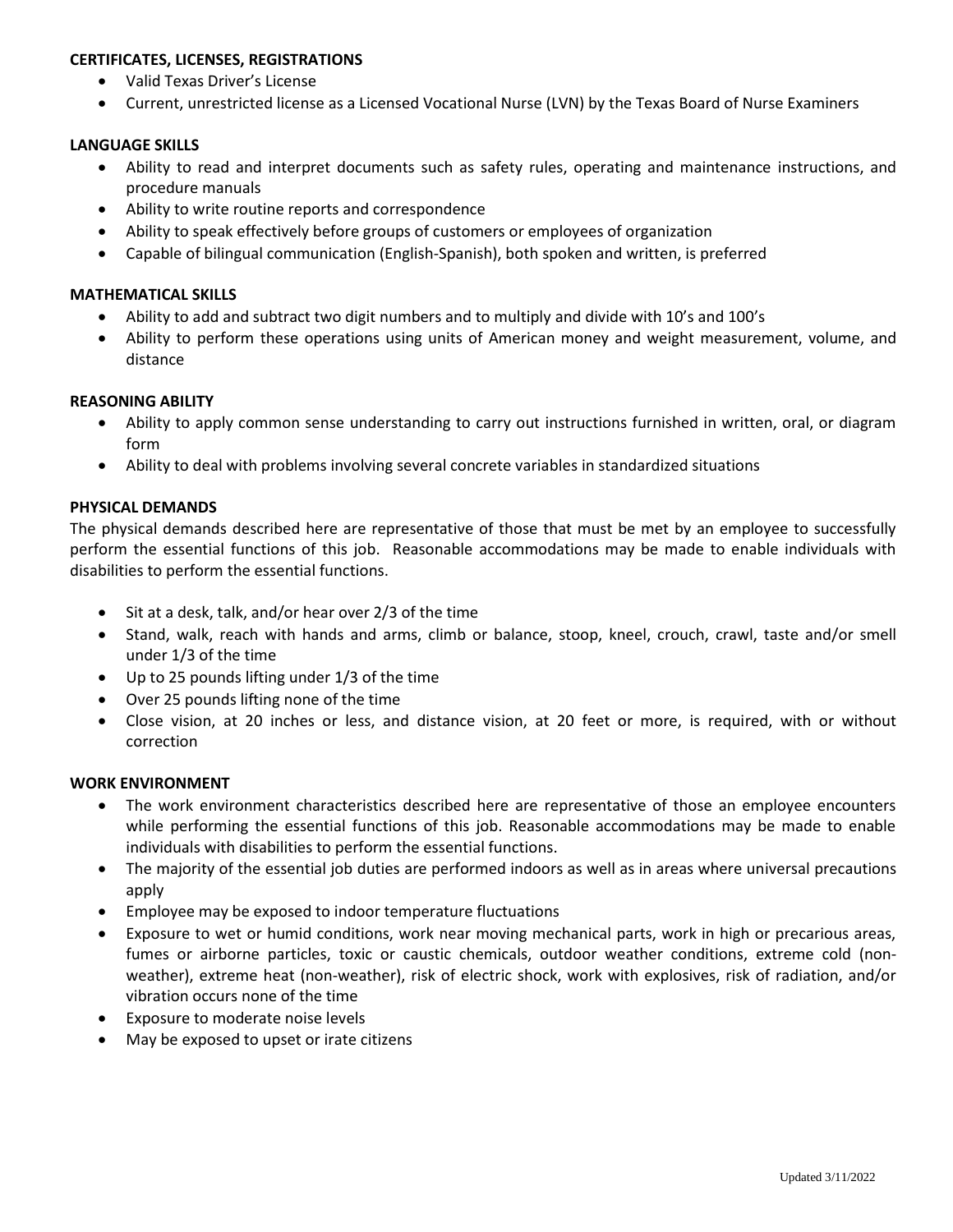# **CERTIFICATES, LICENSES, REGISTRATIONS**

- Valid Texas Driver's License
- Current, unrestricted license as a Licensed Vocational Nurse (LVN) by the Texas Board of Nurse Examiners

## **LANGUAGE SKILLS**

- Ability to read and interpret documents such as safety rules, operating and maintenance instructions, and procedure manuals
- Ability to write routine reports and correspondence
- Ability to speak effectively before groups of customers or employees of organization
- Capable of bilingual communication (English-Spanish), both spoken and written, is preferred

## **MATHEMATICAL SKILLS**

- Ability to add and subtract two digit numbers and to multiply and divide with 10's and 100's
- Ability to perform these operations using units of American money and weight measurement, volume, and distance

## **REASONING ABILITY**

- Ability to apply common sense understanding to carry out instructions furnished in written, oral, or diagram form
- Ability to deal with problems involving several concrete variables in standardized situations

# **PHYSICAL DEMANDS**

The physical demands described here are representative of those that must be met by an employee to successfully perform the essential functions of this job. Reasonable accommodations may be made to enable individuals with disabilities to perform the essential functions.

- Sit at a desk, talk, and/or hear over 2/3 of the time
- Stand, walk, reach with hands and arms, climb or balance, stoop, kneel, crouch, crawl, taste and/or smell under 1/3 of the time
- Up to 25 pounds lifting under 1/3 of the time
- Over 25 pounds lifting none of the time
- Close vision, at 20 inches or less, and distance vision, at 20 feet or more, is required, with or without correction

#### **WORK ENVIRONMENT**

- The work environment characteristics described here are representative of those an employee encounters while performing the essential functions of this job. Reasonable accommodations may be made to enable individuals with disabilities to perform the essential functions.
- The majority of the essential job duties are performed indoors as well as in areas where universal precautions apply
- Employee may be exposed to indoor temperature fluctuations
- Exposure to wet or humid conditions, work near moving mechanical parts, work in high or precarious areas, fumes or airborne particles, toxic or caustic chemicals, outdoor weather conditions, extreme cold (nonweather), extreme heat (non-weather), risk of electric shock, work with explosives, risk of radiation, and/or vibration occurs none of the time
- Exposure to moderate noise levels
- May be exposed to upset or irate citizens